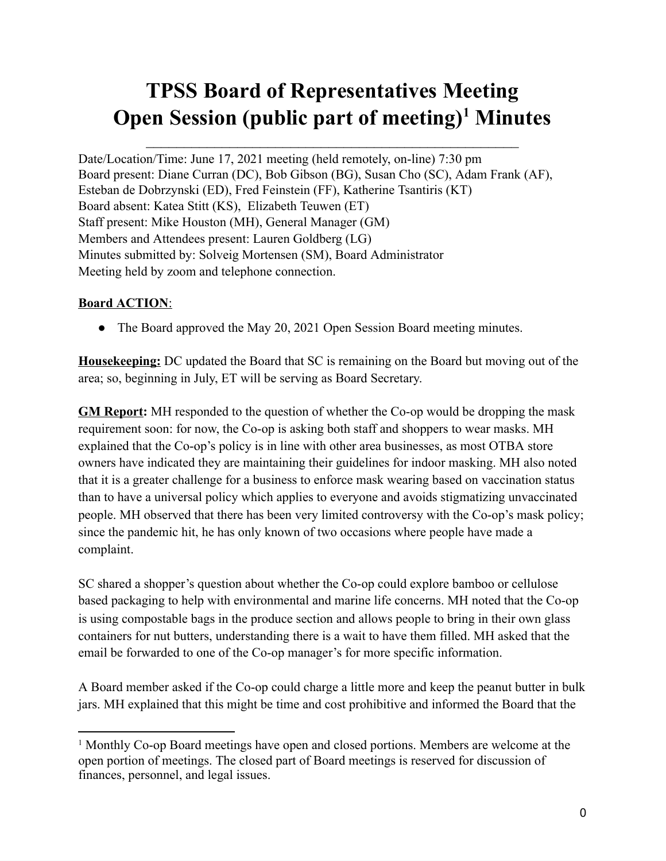# **TPSS Board of Representatives Meeting Open Session (public part of meeting) <sup>1</sup> Minutes**

 $\mathcal{L}_\text{max}$  , and the set of the set of the set of the set of the set of the set of the set of the set of the set of

Date/Location/Time: June 17, 2021 meeting (held remotely, on-line) 7:30 pm Board present: Diane Curran (DC), Bob Gibson (BG), Susan Cho (SC), Adam Frank (AF), Esteban de Dobrzynski (ED), Fred Feinstein (FF), Katherine Tsantiris (KT) Board absent: Katea Stitt (KS), Elizabeth Teuwen (ET) Staff present: Mike Houston (MH), General Manager (GM) Members and Attendees present: Lauren Goldberg (LG) Minutes submitted by: Solveig Mortensen (SM), Board Administrator Meeting held by zoom and telephone connection.

# **Board ACTION**:

• The Board approved the May 20, 2021 Open Session Board meeting minutes.

**Housekeeping:** DC updated the Board that SC is remaining on the Board but moving out of the area; so, beginning in July, ET will be serving as Board Secretary.

**GM Report:** MH responded to the question of whether the Co-op would be dropping the mask requirement soon: for now, the Co-op is asking both staff and shoppers to wear masks. MH explained that the Co-op's policy is in line with other area businesses, as most OTBA store owners have indicated they are maintaining their guidelines for indoor masking. MH also noted that it is a greater challenge for a business to enforce mask wearing based on vaccination status than to have a universal policy which applies to everyone and avoids stigmatizing unvaccinated people. MH observed that there has been very limited controversy with the Co-op's mask policy; since the pandemic hit, he has only known of two occasions where people have made a complaint.

SC shared a shopper's question about whether the Co-op could explore bamboo or cellulose based packaging to help with environmental and marine life concerns. MH noted that the Co-op is using compostable bags in the produce section and allows people to bring in their own glass containers for nut butters, understanding there is a wait to have them filled. MH asked that the email be forwarded to one of the Co-op manager's for more specific information.

A Board member asked if the Co-op could charge a little more and keep the peanut butter in bulk jars. MH explained that this might be time and cost prohibitive and informed the Board that the

<sup>1</sup> Monthly Co-op Board meetings have open and closed portions. Members are welcome at the open portion of meetings. The closed part of Board meetings is reserved for discussion of finances, personnel, and legal issues.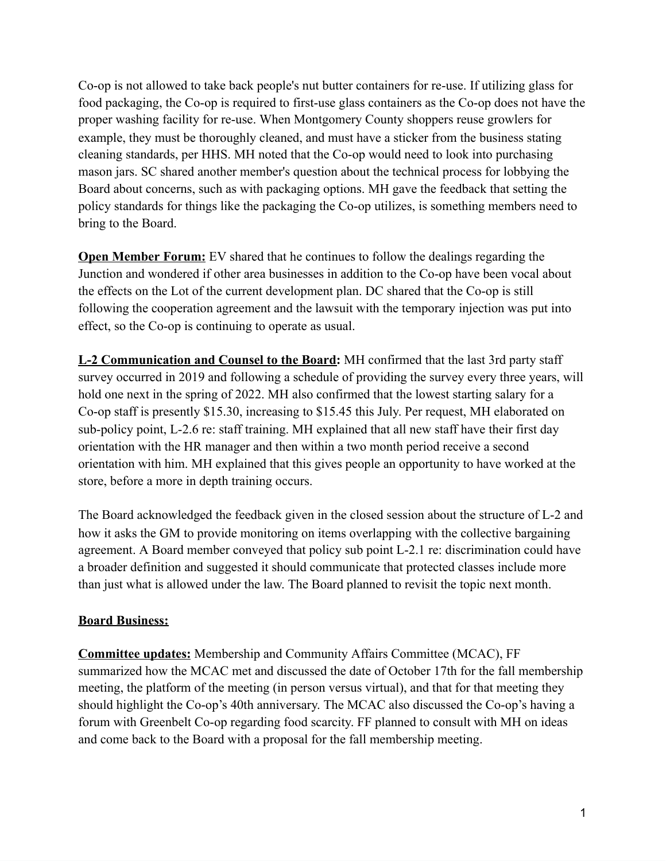Co-op is not allowed to take back people's nut butter containers for re-use. If utilizing glass for food packaging, the Co-op is required to first-use glass containers as the Co-op does not have the proper washing facility for re-use. When Montgomery County shoppers reuse growlers for example, they must be thoroughly cleaned, and must have a sticker from the business stating cleaning standards, per HHS. MH noted that the Co-op would need to look into purchasing mason jars. SC shared another member's question about the technical process for lobbying the Board about concerns, such as with packaging options. MH gave the feedback that setting the policy standards for things like the packaging the Co-op utilizes, is something members need to bring to the Board.

**Open Member Forum:** EV shared that he continues to follow the dealings regarding the Junction and wondered if other area businesses in addition to the Co-op have been vocal about the effects on the Lot of the current development plan. DC shared that the Co-op is still following the cooperation agreement and the lawsuit with the temporary injection was put into effect, so the Co-op is continuing to operate as usual.

**L-2 Communication and Counsel to the Board:** MH confirmed that the last 3rd party staff survey occurred in 2019 and following a schedule of providing the survey every three years, will hold one next in the spring of 2022. MH also confirmed that the lowest starting salary for a Co-op staff is presently \$15.30, increasing to \$15.45 this July. Per request, MH elaborated on sub-policy point, L-2.6 re: staff training. MH explained that all new staff have their first day orientation with the HR manager and then within a two month period receive a second orientation with him. MH explained that this gives people an opportunity to have worked at the store, before a more in depth training occurs.

The Board acknowledged the feedback given in the closed session about the structure of L-2 and how it asks the GM to provide monitoring on items overlapping with the collective bargaining agreement. A Board member conveyed that policy sub point L-2.1 re: discrimination could have a broader definition and suggested it should communicate that protected classes include more than just what is allowed under the law. The Board planned to revisit the topic next month.

### **Board Business:**

**Committee updates:** Membership and Community Affairs Committee (MCAC), FF summarized how the MCAC met and discussed the date of October 17th for the fall membership meeting, the platform of the meeting (in person versus virtual), and that for that meeting they should highlight the Co-op's 40th anniversary. The MCAC also discussed the Co-op's having a forum with Greenbelt Co-op regarding food scarcity. FF planned to consult with MH on ideas and come back to the Board with a proposal for the fall membership meeting.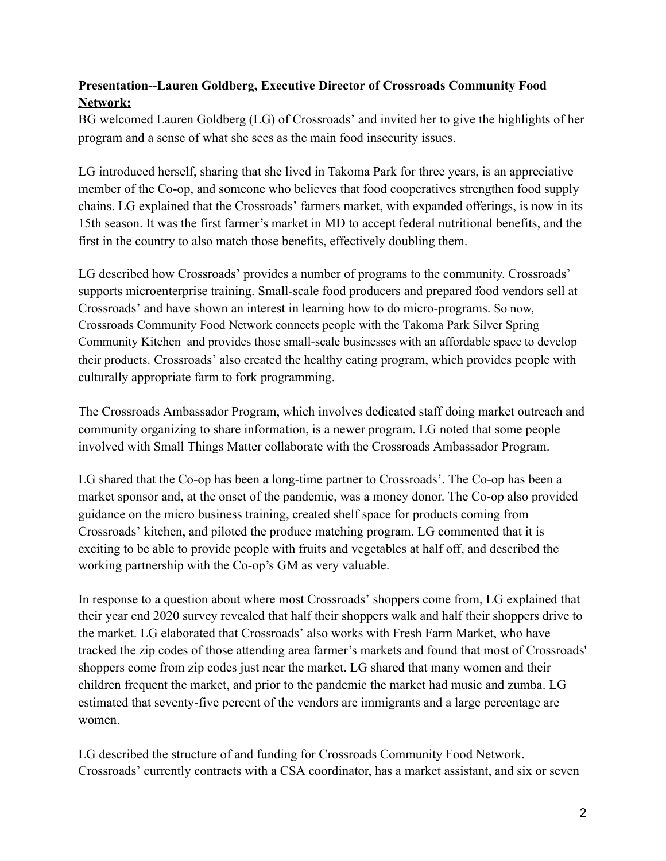# **Presentation--Lauren Goldberg, Executive Director of Crossroads Community Food Network:**

BG welcomed Lauren Goldberg (LG) of Crossroads' and invited her to give the highlights of her program and a sense of what she sees as the main food insecurity issues.

LG introduced herself, sharing that she lived in Takoma Park for three years, is an appreciative member of the Co-op, and someone who believes that food cooperatives strengthen food supply chains. LG explained that the Crossroads' farmers market, with expanded offerings, is now in its 15th season. It was the first farmer's market in MD to accept federal nutritional benefits, and the first in the country to also match those benefits, effectively doubling them.

LG described how Crossroads' provides a number of programs to the community. Crossroads' supports microenterprise training. Small-scale food producers and prepared food vendors sell at Crossroads' and have shown an interest in learning how to do micro-programs. So now, Crossroads Community Food Network connects people with the [Takoma](https://www.crossroadscommunityfoodnetwork.org/tpssck/) Park Silver Spring [Community](https://www.crossroadscommunityfoodnetwork.org/tpssck/) Kitchen and provides those small-scale businesses with an affordable space to develop their products. Crossroads' also created the healthy eating program, which provides people with culturally appropriate farm to fork programming.

The Crossroads Ambassador Program, which involves dedicated staff doing market outreach and community organizing to share information, is a newer program. LG noted that some people involved with Small Things Matter collaborate with the Crossroads Ambassador Program.

LG shared that the Co-op has been a long-time partner to Crossroads'. The Co-op has been a market sponsor and, at the onset of the pandemic, was a money donor. The Co-op also provided guidance on the micro business training, created shelf space for products coming from Crossroads' kitchen, and piloted the produce matching program. LG commented that it is exciting to be able to provide people with fruits and vegetables at half off, and described the working partnership with the Co-op's GM as very valuable.

In response to a question about where most Crossroads' shoppers come from, LG explained that their year end 2020 survey revealed that half their shoppers walk and half their shoppers drive to the market. LG elaborated that Crossroads' also works with Fresh Farm Market, who have tracked the zip codes of those attending area farmer's markets and found that most of Crossroads' shoppers come from zip codes just near the market. LG shared that many women and their children frequent the market, and prior to the pandemic the market had music and zumba. LG estimated that seventy-five percent of the vendors are immigrants and a large percentage are women.

LG described the structure of and funding for Crossroads Community Food Network. Crossroads' currently contracts with a CSA coordinator, has a market assistant, and six or seven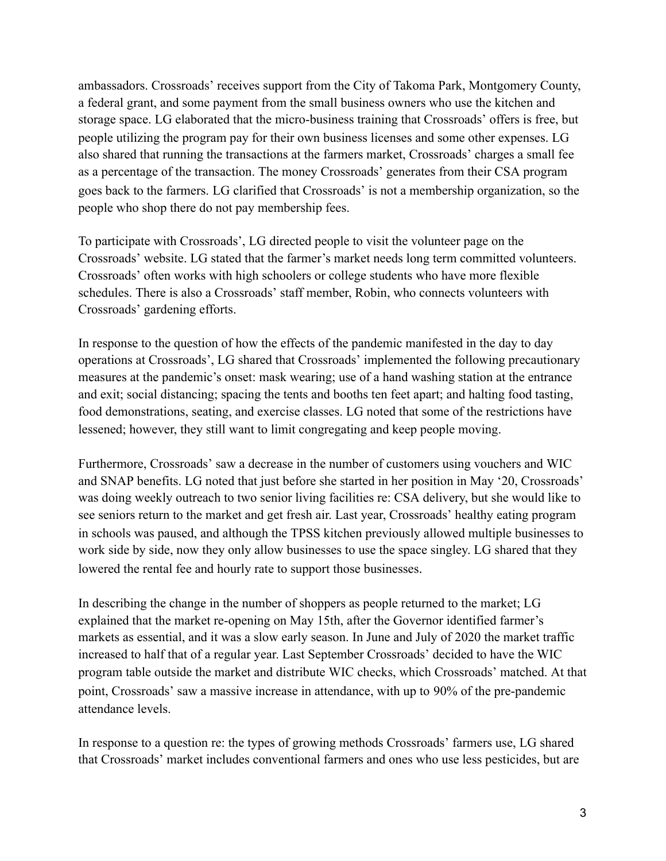ambassadors. Crossroads' receives support from the City of Takoma Park, Montgomery County, a federal grant, and some payment from the small business owners who use the kitchen and storage space. LG elaborated that the micro-business training that Crossroads' offers is free, but people utilizing the program pay for their own business licenses and some other expenses. LG also shared that running the transactions at the farmers market, Crossroads' charges a small fee as a percentage of the transaction. The money Crossroads' generates from their CSA program goes back to the farmers. LG clarified that Crossroads' is not a membership organization, so the people who shop there do not pay membership fees.

To participate with Crossroads', LG directed people to visit the volunteer page on the Crossroads' website. LG stated that the farmer's market needs long term committed volunteers. Crossroads' often works with high schoolers or college students who have more flexible schedules. There is also a Crossroads' staff member, Robin, who connects volunteers with Crossroads' gardening efforts.

In response to the question of how the effects of the pandemic manifested in the day to day operations at Crossroads', LG shared that Crossroads' implemented the following precautionary measures at the pandemic's onset: mask wearing; use of a hand washing station at the entrance and exit; social distancing; spacing the tents and booths ten feet apart; and halting food tasting, food demonstrations, seating, and exercise classes. LG noted that some of the restrictions have lessened; however, they still want to limit congregating and keep people moving.

Furthermore, Crossroads' saw a decrease in the number of customers using vouchers and WIC and SNAP benefits. LG noted that just before she started in her position in May '20, Crossroads' was doing weekly outreach to two senior living facilities re: CSA delivery, but she would like to see seniors return to the market and get fresh air. Last year, Crossroads' healthy eating program in schools was paused, and although the TPSS kitchen previously allowed multiple businesses to work side by side, now they only allow businesses to use the space singley. LG shared that they lowered the rental fee and hourly rate to support those businesses.

In describing the change in the number of shoppers as people returned to the market; LG explained that the market re-opening on May 15th, after the Governor identified farmer's markets as essential, and it was a slow early season. In June and July of 2020 the market traffic increased to half that of a regular year. Last September Crossroads' decided to have the WIC program table outside the market and distribute WIC checks, which Crossroads' matched. At that point, Crossroads' saw a massive increase in attendance, with up to 90% of the pre-pandemic attendance levels.

In response to a question re: the types of growing methods Crossroads' farmers use, LG shared that Crossroads' market includes conventional farmers and ones who use less pesticides, but are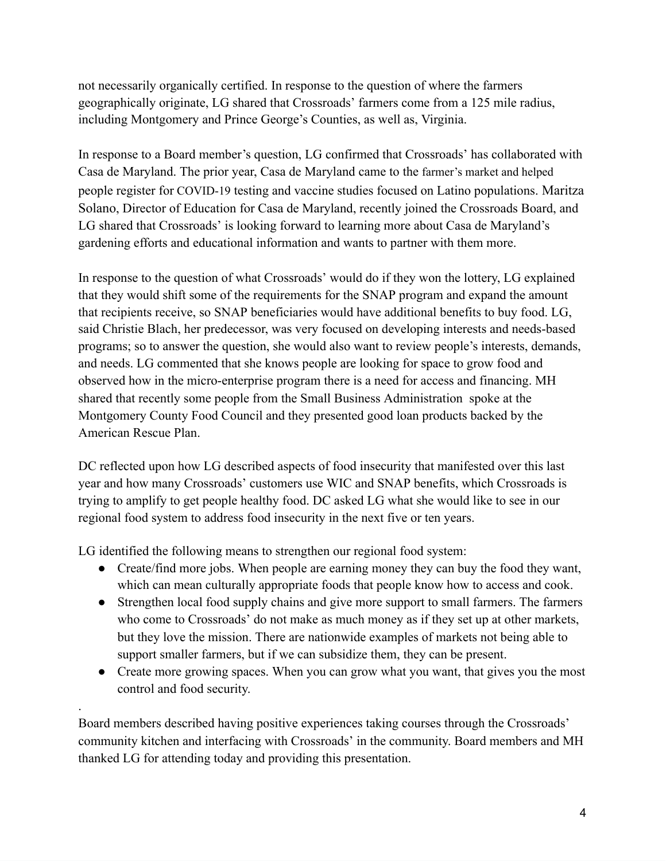not necessarily organically certified. In response to the question of where the farmers geographically originate, LG shared that Crossroads' farmers come from a 125 mile radius, including Montgomery and Prince George's Counties, as well as, Virginia.

In response to a Board member's question, LG confirmed that Crossroads' has collaborated with Casa de Maryland. The prior year, Casa de Maryland came to the farmer's market and helped people register for COVID-19 testing and vaccine studies focused on Latino populations. Maritza Solano, Director of Education for Casa de Maryland, recently joined the Crossroads Board, and LG shared that Crossroads' is looking forward to learning more about Casa de Maryland's gardening efforts and educational information and wants to partner with them more.

In response to the question of what Crossroads' would do if they won the lottery, LG explained that they would shift some of the requirements for the SNAP program and expand the amount that recipients receive, so SNAP beneficiaries would have additional benefits to buy food. LG, said Christie Blach, her predecessor, was very focused on developing interests and needs-based programs; so to answer the question, she would also want to review people's interests, demands, and needs. LG commented that she knows people are looking for space to grow food and observed how in the micro-enterprise program there is a need for access and financing. MH shared that recently some people from the Small Business Administration spoke at the Montgomery County Food Council and they presented good loan products backed by the American Rescue Plan.

DC reflected upon how LG described aspects of food insecurity that manifested over this last year and how many Crossroads' customers use WIC and SNAP benefits, which Crossroads is trying to amplify to get people healthy food. DC asked LG what she would like to see in our regional food system to address food insecurity in the next five or ten years.

LG identified the following means to strengthen our regional food system:

.

- Create/find more jobs. When people are earning money they can buy the food they want, which can mean culturally appropriate foods that people know how to access and cook.
- Strengthen local food supply chains and give more support to small farmers. The farmers who come to Crossroads' do not make as much money as if they set up at other markets, but they love the mission. There are nationwide examples of markets not being able to support smaller farmers, but if we can subsidize them, they can be present.
- Create more growing spaces. When you can grow what you want, that gives you the most control and food security.

Board members described having positive experiences taking courses through the Crossroads' community kitchen and interfacing with Crossroads' in the community. Board members and MH thanked LG for attending today and providing this presentation.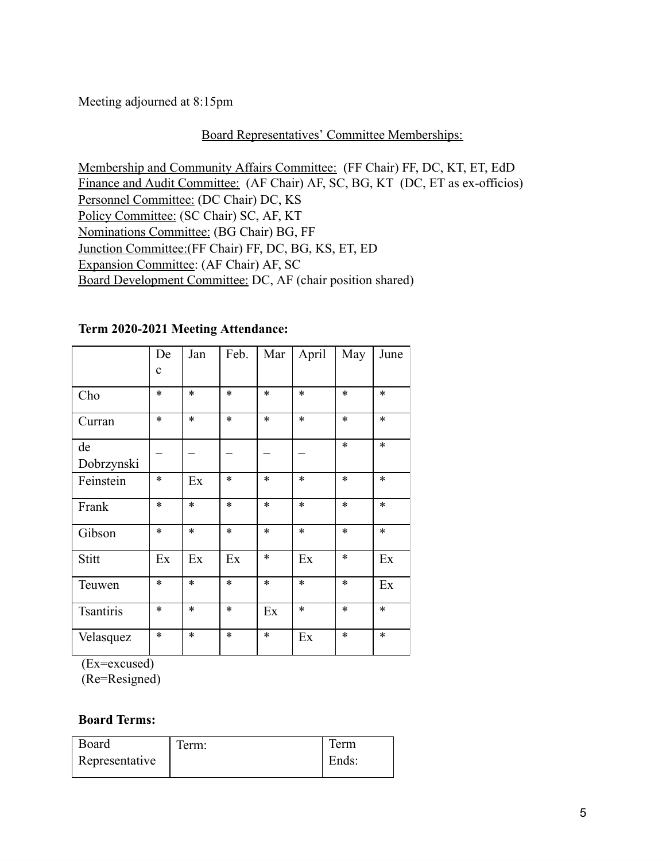Meeting adjourned at 8:15pm

## Board Representatives' Committee Memberships:

Membership and Community Affairs Committee: (FF Chair) FF, DC, KT, ET, EdD Finance and Audit Committee: (AF Chair) AF, SC, BG, KT (DC, ET as ex-officios) Personnel Committee: (DC Chair) DC, KS Policy Committee: (SC Chair) SC, AF, KT Nominations Committee: (BG Chair) BG, FF Junction Committee:(FF Chair) FF, DC, BG, KS, ET, ED Expansion Committee: (AF Chair) AF, SC Board Development Committee: DC, AF (chair position shared)

|                  | De          | Jan    | Feb.   | Mar    | April                  | May    | June   |
|------------------|-------------|--------|--------|--------|------------------------|--------|--------|
|                  | $\mathbf c$ |        |        |        |                        |        |        |
| Cho              | $\ast$      | $\ast$ | $\ast$ | $\ast$ | $\ast$                 | $\ast$ | $\ast$ |
| Curran           | $\ast$      | $\ast$ | $\ast$ | $\ast$ | $\ast$                 | $\ast$ | $\ast$ |
| de               |             |        |        |        |                        | $\ast$ | $\ast$ |
| Dobrzynski       |             |        |        |        |                        |        |        |
| Feinstein        | $\ast$      | Ex     | $\ast$ | $\ast$ | $\ast$                 | $\ast$ | $\ast$ |
| Frank            | $\ast$      | $\ast$ | $\ast$ | $\ast$ | $\ast$                 | $\ast$ | $\ast$ |
| Gibson           | $\ast$      | $\ast$ | $\ast$ | $\ast$ | $\ast$                 | $\ast$ | $\ast$ |
| Stitt            | Ex          | Ex     | Ex     | $\ast$ | Ex                     | $\ast$ | Ex     |
| Teuwen           | $\ast$      | $\ast$ | $\ast$ | $\ast$ | $\ast$                 | $\ast$ | Ex     |
| <b>Tsantiris</b> | $\ast$      | $\ast$ | $\ast$ | Ex     | $\ast$                 | $\ast$ | $\ast$ |
| Velasquez        | $\ast$      | $\ast$ | $\ast$ | $\ast$ | $\mathop{\textrm{Ex}}$ | $\ast$ | $\ast$ |

#### **Term 2020-2021 Meeting Attendance:**

(Ex=excused)

(Re=Resigned)

### **Board Terms:**

| Board          | l'erm: | Term  |
|----------------|--------|-------|
| Representative |        | Ends: |